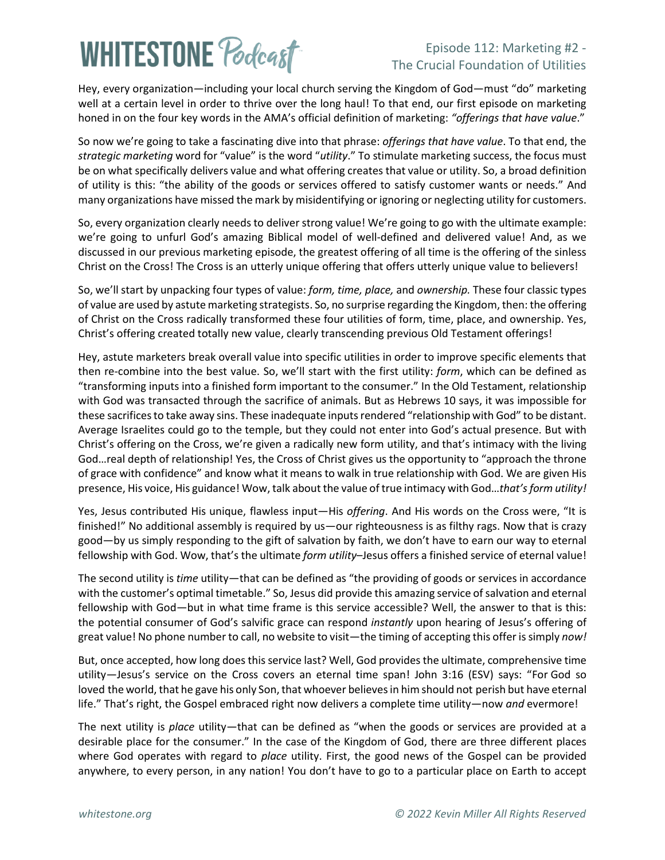# **WHITESTONE Podcast**

### Episode 112: Marketing #2 - The Crucial Foundation of Utilities

Hey, every organization—including your local church serving the Kingdom of God—must "do" marketing well at a certain level in order to thrive over the long haul! To that end, our first episode on marketing honed in on the four key words in the AMA's official definition of marketing: *"offerings that have value*."

So now we're going to take a fascinating dive into that phrase: *offerings that have value*. To that end, the *strategic marketing* word for "value" is the word "*utility*." To stimulate marketing success, the focus must be on what specifically delivers value and what offering creates that value or utility. So, a broad definition of utility is this: "the ability of the goods or services offered to satisfy customer wants or needs." And many organizations have missed the mark by misidentifying or ignoring or neglecting utility for customers.

So, every organization clearly needs to deliver strong value! We're going to go with the ultimate example: we're going to unfurl God's amazing Biblical model of well-defined and delivered value! And, as we discussed in our previous marketing episode, the greatest offering of all time is the offering of the sinless Christ on the Cross! The Cross is an utterly unique offering that offers utterly unique value to believers!

So, we'll start by unpacking four types of value: *form, time, place,* and *ownership.* These four classic types of value are used by astute marketing strategists. So, no surprise regarding the Kingdom, then: the offering of Christ on the Cross radically transformed these four utilities of form, time, place, and ownership. Yes, Christ's offering created totally new value, clearly transcending previous Old Testament offerings!

Hey, astute marketers break overall value into specific utilities in order to improve specific elements that then re-combine into the best value. So, we'll start with the first utility: *form*, which can be defined as "transforming inputs into a finished form important to the consumer." In the Old Testament, relationship with God was transacted through the sacrifice of animals. But as Hebrews 10 says, it was impossible for these sacrifices to take away sins. These inadequate inputs rendered "relationship with God" to be distant. Average Israelites could go to the temple, but they could not enter into God's actual presence. But with Christ's offering on the Cross, we're given a radically new form utility, and that's intimacy with the living God…real depth of relationship! Yes, the Cross of Christ gives us the opportunity to "approach the throne of grace with confidence" and know what it means to walk in true relationship with God. We are given His presence, His voice, His guidance! Wow, talk about the value of true intimacy with God…*that's form utility!*

Yes, Jesus contributed His unique, flawless input—His *offering*. And His words on the Cross were, "It is finished!" No additional assembly is required by us—our righteousness is as filthy rags. Now that is crazy good—by us simply responding to the gift of salvation by faith, we don't have to earn our way to eternal fellowship with God. Wow, that's the ultimate *form utility*–Jesus offers a finished service of eternal value!

The second utility is *time* utility—that can be defined as "the providing of goods or services in accordance with the customer's optimal timetable." So, Jesus did provide this amazing service of salvation and eternal fellowship with God—but in what time frame is this service accessible? Well, the answer to that is this: the potential consumer of God's salvific grace can respond *instantly* upon hearing of Jesus's offering of great value! No phone number to call, no website to visit—the timing of accepting this offer is simply *now!* 

But, once accepted, how long does this service last? Well, God providesthe ultimate, comprehensive time utility—Jesus's service on the Cross covers an eternal time span! John 3:16 (ESV) says: "For God so loved the world, that he gave his only Son, that whoever believes in him should not perish but have eternal life." That's right, the Gospel embraced right now delivers a complete time utility—now *and* evermore!

The next utility is *place* utility—that can be defined as "when the goods or services are provided at a desirable place for the consumer." In the case of the Kingdom of God, there are three different places where God operates with regard to *place* utility. First, the good news of the Gospel can be provided anywhere, to every person, in any nation! You don't have to go to a particular place on Earth to accept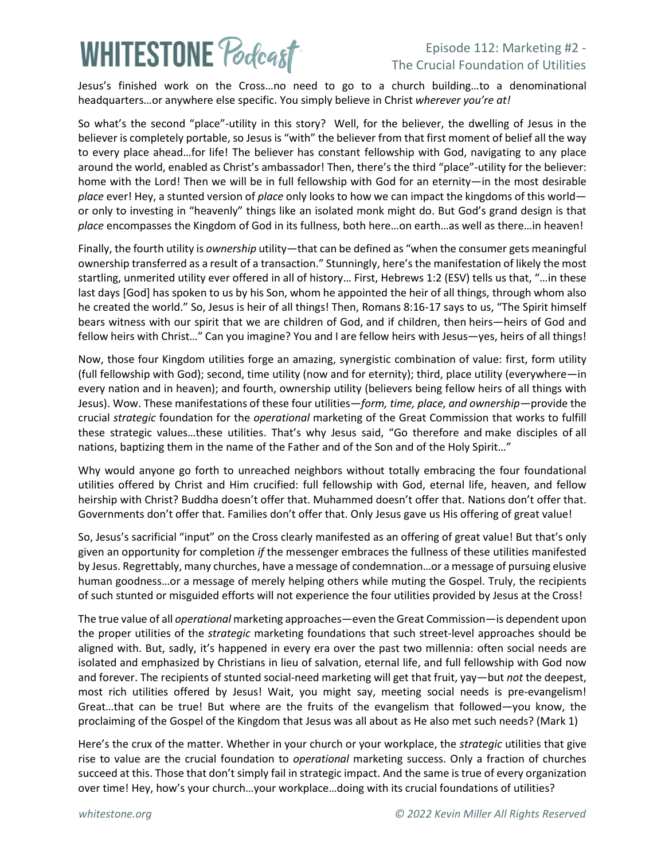## **WHITESTONE Podcast**

### Episode 112: Marketing #2 - The Crucial Foundation of Utilities

Jesus's finished work on the Cross…no need to go to a church building…to a denominational headquarters…or anywhere else specific. You simply believe in Christ *wherever you're at!*

So what's the second "place"-utility in this story? Well, for the believer, the dwelling of Jesus in the believer is completely portable, so Jesus is "with" the believer from that first moment of belief all the way to every place ahead…for life! The believer has constant fellowship with God, navigating to any place around the world, enabled as Christ's ambassador! Then, there's the third "place"-utility for the believer: home with the Lord! Then we will be in full fellowship with God for an eternity—in the most desirable *place* ever! Hey, a stunted version of *place* only looks to how we can impact the kingdoms of this world or only to investing in "heavenly" things like an isolated monk might do. But God's grand design is that *place* encompasses the Kingdom of God in its fullness, both here…on earth…as well as there…in heaven!

Finally, the fourth utility is *ownership* utility—that can be defined as "when the consumer gets meaningful ownership transferred as a result of a transaction." Stunningly, here's the manifestation of likely the most startling, unmerited utility ever offered in all of history… First, Hebrews 1:2 (ESV) tells us that, "…in these last days [God] has spoken to us by his Son, whom he appointed the heir of all things, through whom also he created the world." So, Jesus is heir of all things! Then, Romans 8:16-17 says to us, "The Spirit himself bears witness with our spirit that we are children of God, and if children, then heirs—heirs of God and fellow heirs with Christ…" Can you imagine? You and I are fellow heirs with Jesus—yes, heirs of all things!

Now, those four Kingdom utilities forge an amazing, synergistic combination of value: first, form utility (full fellowship with God); second, time utility (now and for eternity); third, place utility (everywhere—in every nation and in heaven); and fourth, ownership utility (believers being fellow heirs of all things with Jesus). Wow. These manifestations of these four utilities—*form, time, place, and ownership*—provide the crucial *strategic* foundation for the *operational* marketing of the Great Commission that works to fulfill these strategic values…these utilities. That's why Jesus said, "Go therefore and make disciples of all nations, baptizing them in the name of the Father and of the Son and of the Holy Spirit…"

Why would anyone go forth to unreached neighbors without totally embracing the four foundational utilities offered by Christ and Him crucified: full fellowship with God, eternal life, heaven, and fellow heirship with Christ? Buddha doesn't offer that. Muhammed doesn't offer that. Nations don't offer that. Governments don't offer that. Families don't offer that. Only Jesus gave us His offering of great value!

So, Jesus's sacrificial "input" on the Cross clearly manifested as an offering of great value! But that's only given an opportunity for completion *if* the messenger embraces the fullness of these utilities manifested by Jesus. Regrettably, many churches, have a message of condemnation…or a message of pursuing elusive human goodness…or a message of merely helping others while muting the Gospel. Truly, the recipients of such stunted or misguided efforts will not experience the four utilities provided by Jesus at the Cross!

The true value of all *operational* marketing approaches—even the Great Commission—is dependent upon the proper utilities of the *strategic* marketing foundations that such street-level approaches should be aligned with. But, sadly, it's happened in every era over the past two millennia: often social needs are isolated and emphasized by Christians in lieu of salvation, eternal life, and full fellowship with God now and forever. The recipients of stunted social-need marketing will get that fruit, yay—but *not* the deepest, most rich utilities offered by Jesus! Wait, you might say, meeting social needs is pre-evangelism! Great…that can be true! But where are the fruits of the evangelism that followed—you know, the proclaiming of the Gospel of the Kingdom that Jesus was all about as He also met such needs? (Mark 1)

Here's the crux of the matter. Whether in your church or your workplace, the *strategic* utilities that give rise to value are the crucial foundation to *operational* marketing success. Only a fraction of churches succeed at this. Those that don't simply fail in strategic impact. And the same is true of every organization over time! Hey, how's your church…your workplace…doing with its crucial foundations of utilities?